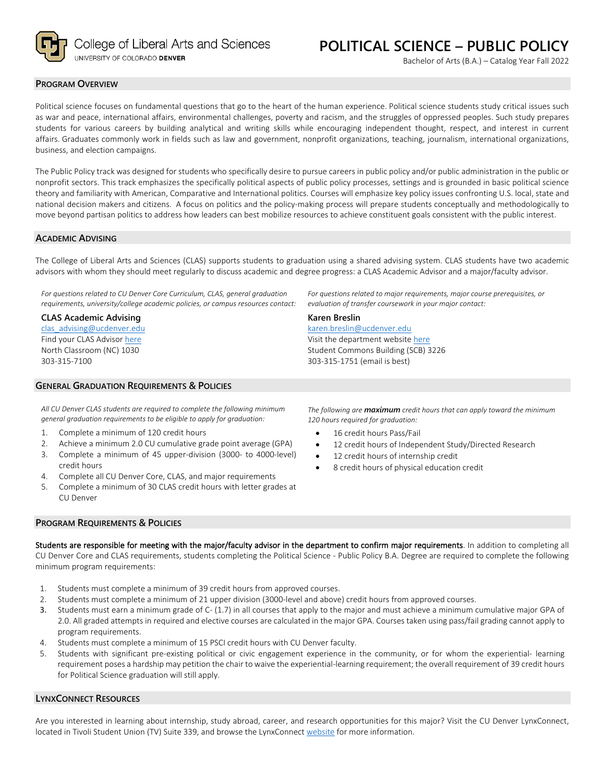

Bachelor of Arts (B.A.) – Catalog Year Fall 2022

## **PROGRAM OVERVIEW**

Political science focuses on fundamental questions that go to the heart of the human experience. Political science students study critical issues such as war and peace, international affairs, environmental challenges, poverty and racism, and the struggles of oppressed peoples. Such study prepares students for various careers by building analytical and writing skills while encouraging independent thought, respect, and interest in current affairs. Graduates commonly work in fields such as law and government, nonprofit organizations, teaching, journalism, international organizations, business, and election campaigns.

The Public Policy track was designed for students who specifically desire to pursue careers in public policy and/or public administration in the public or nonprofit sectors. This track emphasizes the specifically political aspects of public policy processes, settings and is grounded in basic political science theory and familiarity with American, Comparative and International politics. Courses will emphasize key policy issues confronting U.S. local, state and national decision makers and citizens. A focus on politics and the policy-making process will prepare students conceptually and methodologically to move beyond partisan politics to address how leaders can best mobilize resources to achieve constituent goals consistent with the public interest.

## **ACADEMIC ADVISING**

The College of Liberal Arts and Sciences (CLAS) supports students to graduation using a shared advising system. CLAS students have two academic advisors with whom they should meet regularly to discuss academic and degree progress: a CLAS Academic Advisor and a major/faculty advisor.

*For questions related to CU Denver Core Curriculum, CLAS, general graduation requirements, university/college academic policies, or campus resources contact:*

**CLAS Academic Advising** [clas\\_advising@ucdenver.edu](mailto:clas_advising@ucdenver.edu) Find your CLAS Adviso[r here](https://clas.ucdenver.edu/advising/) North Classroom (NC) 1030 303-315-7100

# **GENERAL GRADUATION REQUIREMENTS & POLICIES**

*All CU Denver CLAS students are required to complete the following minimum general graduation requirements to be eligible to apply for graduation:*

- 1. Complete a minimum of 120 credit hours
- 2. Achieve a minimum 2.0 CU cumulative grade point average (GPA)
- 3. Complete a minimum of 45 upper-division (3000- to 4000-level) credit hours
- 4. Complete all CU Denver Core, CLAS, and major requirements
- 5. Complete a minimum of 30 CLAS credit hours with letter grades at CU Denver

*For questions related to major requirements, major course prerequisites, or evaluation of transfer coursework in your major contact:*

#### **Karen Breslin**

[karen.breslin@ucdenver.edu](mailto:karen.breslin@ucdenver.edu) Visit the department websit[e here](https://clas.ucdenver.edu/polisci/) Student Commons Building (SCB) 3226 303-315-1751 (email is best)

*The following are maximum credit hours that can apply toward the minimum 120 hours required for graduation:*

- 16 credit hours Pass/Fail
- 12 credit hours of Independent Study/Directed Research
- 12 credit hours of internship credit
- 8 credit hours of physical education credit

#### **PROGRAM REQUIREMENTS & POLICIES**

Students are responsible for meeting with the major/faculty advisor in the department to confirm major requirements. In addition to completing all CU Denver Core and CLAS requirements, students completing the Political Science - Public Policy B.A. Degree are required to complete the following minimum program requirements:

- 1. Students must complete a minimum of 39 credit hours from approved courses.
- 2. Students must complete a minimum of 21 upper division (3000-level and above) credit hours from approved courses.
- 3. Students must earn a minimum grade of C- (1.7) in all courses that apply to the major and must achieve a minimum cumulative major GPA of 2.0. All graded attempts in required and elective courses are calculated in the major GPA. Courses taken using pass/fail grading cannot apply to program requirements.
- 4. Students must complete a minimum of 15 PSCI credit hours with CU Denver faculty.
- 5. Students with significant pre-existing political or civic engagement experience in the community, or for whom the experiential- learning requirement poses a hardship may petition the chair to waive the experiential-learning requirement; the overall requirement of 39 credit hours for Political Science graduation will still apply.

#### **LYNXCONNECT RESOURCES**

Are you interested in learning about internship, study abroad, career, and research opportunities for this major? Visit the CU Denver LynxConnect, located in Tivoli Student Union (TV) Suite 339, and browse the LynxConnec[t website](http://www.ucdenver.edu/lynxconnect/Pages/default.aspx) for more information.